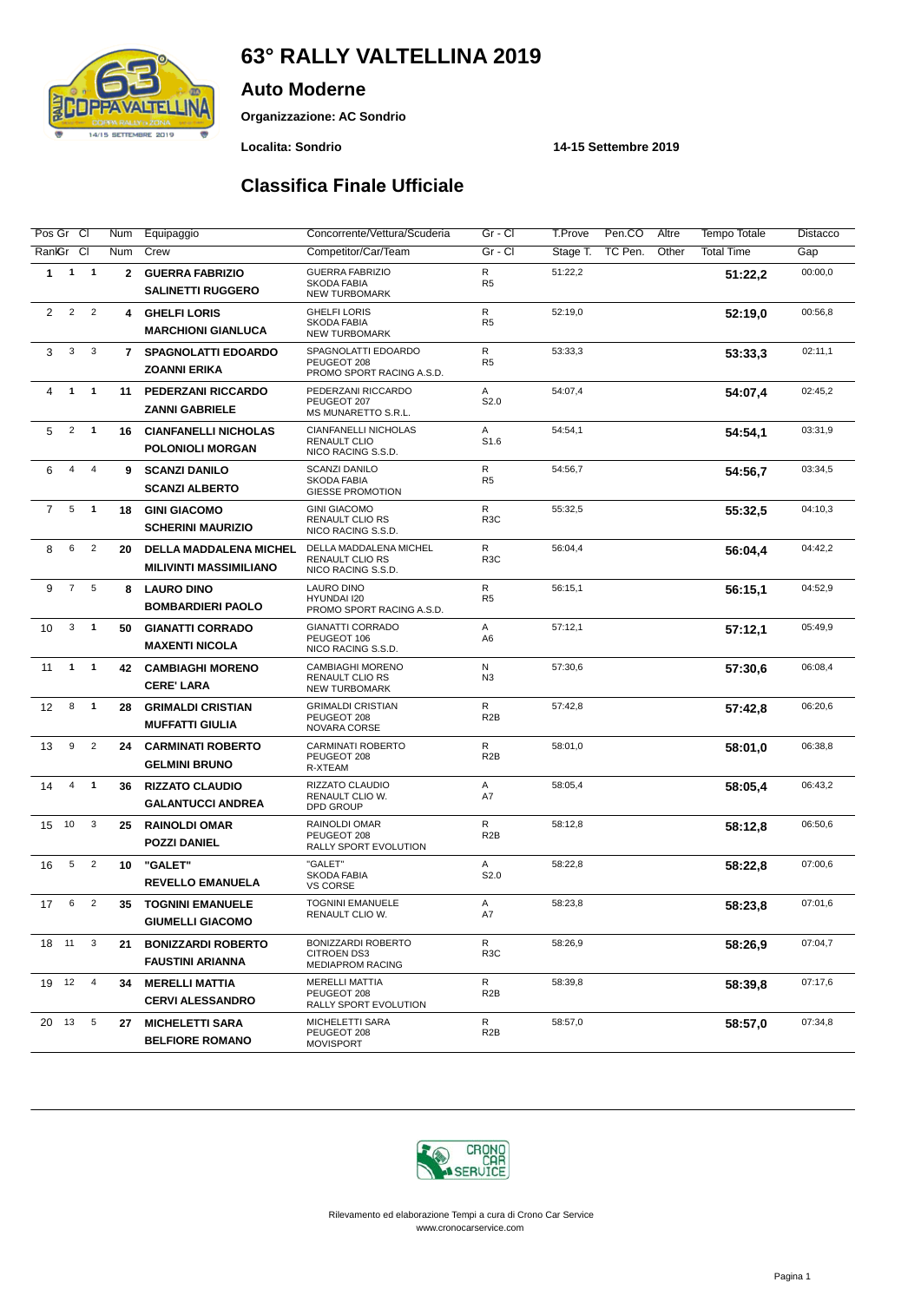# **63° RALLY VALTELLINA 2019**



**Organizzazione: AC Sondrio**

**Auto Moderne**

#### **Localita: Sondrio 14-15 Settembre 2019**

#### **Classifica Finale Ufficiale**

| Pos Gr Cl      |                |                         | Num            | Equipaggio                                                     | Concorrente/Vettura/Scuderia                                               | Gr - Cl                        | T.Prove<br>Pen.CO   | Altre | <b>Tempo Totale</b> | Distacco |
|----------------|----------------|-------------------------|----------------|----------------------------------------------------------------|----------------------------------------------------------------------------|--------------------------------|---------------------|-------|---------------------|----------|
| RankGr CI      |                |                         | <b>Num</b>     | Crew                                                           | Competitor/Car/Team                                                        | $Gr - Cl$                      | TC Pen.<br>Stage T. | Other | <b>Total Time</b>   | Gap      |
| 1              | $\mathbf{1}$   | $\overline{\mathbf{1}}$ | $\mathbf{2}$   | <b>GUERRA FABRIZIO</b><br><b>SALINETTI RUGGERO</b>             | <b>GUERRA FABRIZIO</b><br>SKODA FABIA<br><b>NEW TURBOMARK</b>              | ${\sf R}$<br>R <sub>5</sub>    | 51:22,2             |       | 51:22,2             | 00:00,0  |
| 2              | $\sqrt{2}$     | $\overline{2}$          | 4              | <b>GHELFI LORIS</b><br><b>MARCHIONI GIANLUCA</b>               | <b>GHELFI LORIS</b><br>SKODA FABIA<br>NEW TURBOMARK                        | $\mathsf{R}$<br>R <sub>5</sub> | 52:19,0             |       | 52:19.0             | 00:56,8  |
| 3              | 3              | 3                       | $\overline{7}$ | <b>SPAGNOLATTI EDOARDO</b><br><b>ZOANNI ERIKA</b>              | SPAGNOLATTI EDOARDO<br>PEUGEOT 208<br>PROMO SPORT RACING A.S.D.            | $\mathsf{R}$<br>R <sub>5</sub> | 53:33,3             |       | 53:33,3             | 02:11,1  |
| 4              | $\mathbf{1}$   | $\overline{1}$          | 11             | PEDERZANI RICCARDO<br><b>ZANNI GABRIELE</b>                    | PEDERZANI RICCARDO<br>PEUGEOT 207<br>MS MUNARETTO S.R.L.                   | Α<br>S2.0                      | 54:07,4             |       | 54:07.4             | 02:45,2  |
| 5              | $\overline{2}$ | $\mathbf{1}$            | 16             | <b>CIANFANELLI NICHOLAS</b><br><b>POLONIOLI MORGAN</b>         | <b>CIANFANELLI NICHOLAS</b><br><b>RENAULT CLIO</b><br>NICO RACING S.S.D.   | Α<br>S1.6                      | 54:54,1             |       | 54:54,1             | 03:31,9  |
| 6              | 4              | 4                       | 9              | <b>SCANZI DANILO</b><br><b>SCANZI ALBERTO</b>                  | <b>SCANZI DANILO</b><br>SKODA FABIA<br><b>GIESSE PROMOTION</b>             | $\mathsf{R}$<br>R <sub>5</sub> | 54:56,7             |       | 54:56,7             | 03:34,5  |
| $\overline{7}$ | 5              | $\overline{1}$          | 18             | <b>GINI GIACOMO</b><br><b>SCHERINI MAURIZIO</b>                | <b>GINI GIACOMO</b><br><b>RENAULT CLIO RS</b><br>NICO RACING S.S.D.        | R<br>R <sub>3</sub> C          | 55:32,5             |       | 55:32,5             | 04:10,3  |
| 8              | 6              | $\overline{2}$          | 20             | <b>DELLA MADDALENA MICHEL</b><br><b>MILIVINTI MASSIMILIANO</b> | DELLA MADDALENA MICHEL<br><b>RENAULT CLIO RS</b><br>NICO RACING S.S.D.     | R<br>R <sub>3</sub> C          | 56:04,4             |       | 56:04,4             | 04:42,2  |
| 9              | $\overline{7}$ | 5                       | 8              | <b>LAURO DINO</b><br><b>BOMBARDIERI PAOLO</b>                  | <b>LAURO DINO</b><br>HYUNDAI I20<br>PROMO SPORT RACING A.S.D.              | R<br>R <sub>5</sub>            | 56:15,1             |       | 56:15,1             | 04:52,9  |
| 10             | 3              | $\overline{1}$          | 50             | <b>GIANATTI CORRADO</b><br><b>MAXENTI NICOLA</b>               | <b>GIANATTI CORRADO</b><br>PEUGEOT 106<br>NICO RACING S.S.D.               | Α<br>A <sub>6</sub>            | 57:12,1             |       | 57:12,1             | 05:49,9  |
| 11             | $\mathbf{1}$   | $\overline{\mathbf{1}}$ | 42             | <b>CAMBIAGHI MORENO</b><br><b>CERE' LARA</b>                   | <b>CAMBIAGHI MORENO</b><br><b>RENAULT CLIO RS</b><br><b>NEW TURBOMARK</b>  | N<br>N3                        | 57:30,6             |       | 57:30.6             | 06:08.4  |
| 12             | 8              | $\mathbf{1}$            | 28             | <b>GRIMALDI CRISTIAN</b><br><b>MUFFATTI GIULIA</b>             | <b>GRIMALDI CRISTIAN</b><br>PEUGEOT 208<br>NOVARA CORSE                    | R<br>R <sub>2</sub> B          | 57:42,8             |       | 57:42,8             | 06:20,6  |
| 13             | 9              | $\overline{2}$          | 24             | <b>CARMINATI ROBERTO</b><br><b>GELMINI BRUNO</b>               | CARMINATI ROBERTO<br>PEUGEOT 208<br>R-XTEAM                                | R<br>R <sub>2</sub> B          | 58:01,0             |       | 58:01.0             | 06:38.8  |
| 14             | 4              | $\mathbf{1}$            | 36             | <b>RIZZATO CLAUDIO</b><br><b>GALANTUCCI ANDREA</b>             | RIZZATO CLAUDIO<br>RENAULT CLIO W.<br>DPD GROUP                            | Α<br>A7                        | 58:05,4             |       | 58:05,4             | 06:43,2  |
| 15             | 10             | 3                       | 25             | <b>RAINOLDI OMAR</b><br><b>POZZI DANIEL</b>                    | <b>RAINOLDI OMAR</b><br>PEUGEOT 208<br>RALLY SPORT EVOLUTION               | R<br>R <sub>2</sub> B          | 58:12,8             |       | 58:12,8             | 06:50,6  |
| 16             | 5              | $\overline{2}$          | 10             | "GALET"<br>REVELLO EMANUELA                                    | "GALET"<br>SKODA FABIA<br><b>VS CORSE</b>                                  | Α<br>S2.0                      | 58:22,8             |       | 58:22,8             | 07:00,6  |
| 17             | 6              | $\overline{2}$          | 35             | <b>TOGNINI EMANUELE</b><br><b>GIUMELLI GIACOMO</b>             | <b>TOGNINI EMANUELE</b><br>RENAULT CLIO W.                                 | Α<br>A7                        | 58:23,8             |       | 58:23.8             | 07:01.6  |
| 18 11          |                | 3                       | 21             | <b>BONIZZARDI ROBERTO</b><br><b>FAUSTINI ARIANNA</b>           | <b>BONIZZARDI ROBERTO</b><br><b>CITROEN DS3</b><br><b>MEDIAPROM RACING</b> | R<br>R <sub>3</sub> C          | 58:26,9             |       | 58:26,9             | 07:04,7  |
| 19 12          |                | $\overline{4}$          | 34             | <b>MERELLI MATTIA</b><br><b>CERVI ALESSANDRO</b>               | <b>MERELLI MATTIA</b><br>PEUGEOT 208<br>RALLY SPORT EVOLUTION              | R<br>R <sub>2</sub> B          | 58:39,8             |       | 58:39,8             | 07:17,6  |
| 20 13          |                | 5                       | 27             | <b>MICHELETTI SARA</b><br><b>BELFIORE ROMANO</b>               | MICHELETTI SARA<br>PEUGEOT 208<br><b>MOVISPORT</b>                         | R<br>R <sub>2</sub> B          | 58:57,0             |       | 58:57,0             | 07:34,8  |

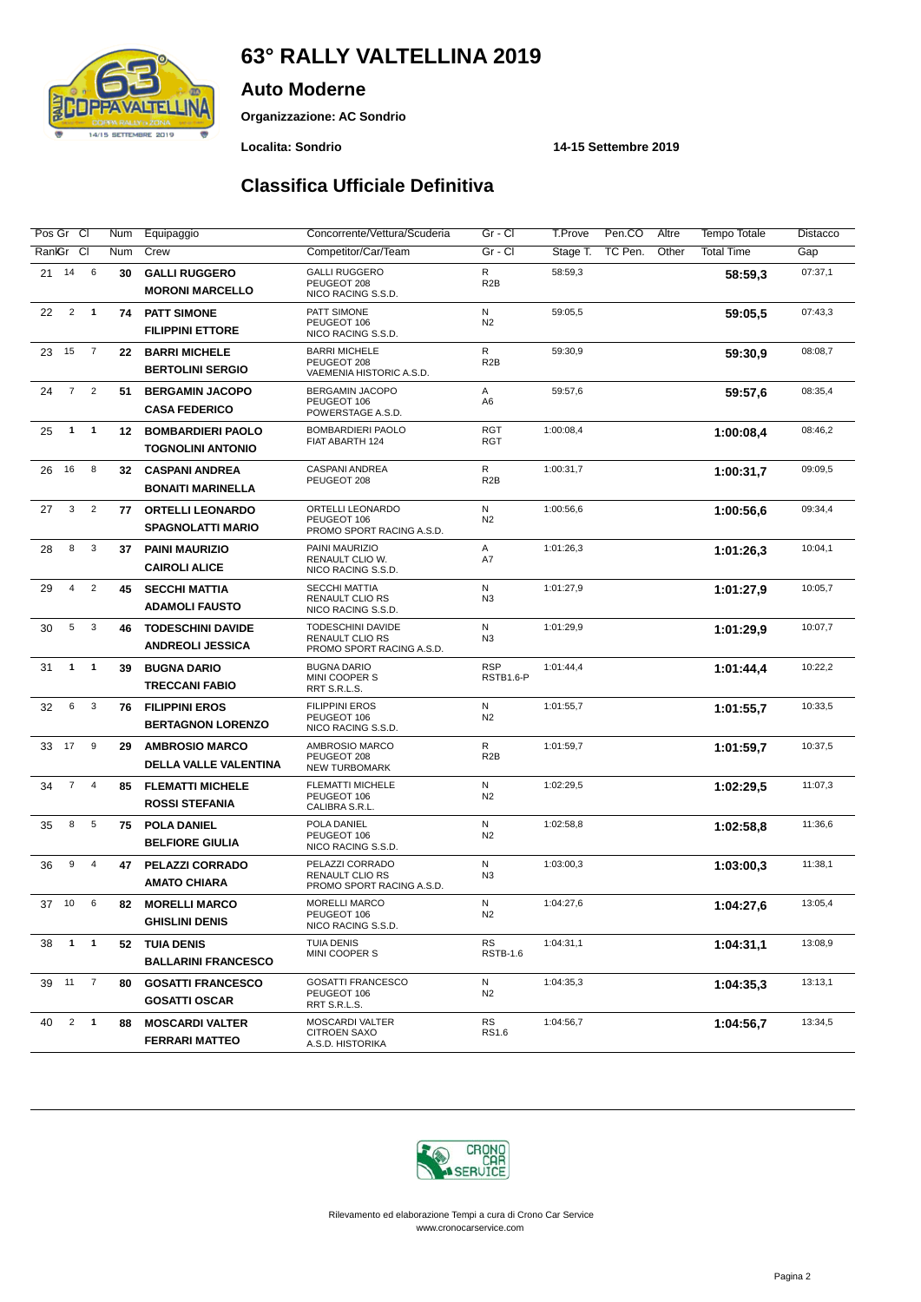# **63° RALLY VALTELLINA 2019**



**Organizzazione: AC Sondrio**

**Auto Moderne**

#### **Localita: Sondrio 14-15 Settembre 2019**

## **Classifica Ufficiale Definitiva**

| Pos Gr Cl                                       | Num     | Equipaggio                                           | Concorrente/Vettura/Scuderia                                             | Gr - Cl                          | <b>T.Prove</b> | Pen.CO<br>Altre  | <b>Tempo Totale</b> | Distacco |
|-------------------------------------------------|---------|------------------------------------------------------|--------------------------------------------------------------------------|----------------------------------|----------------|------------------|---------------------|----------|
| CI<br>RanlGr                                    | Num     | Crew                                                 | Competitor/Car/Team                                                      | Gr - Cl                          | Stage T.       | TC Pen.<br>Other | <b>Total Time</b>   | Gap      |
| 14<br>6<br>21                                   | 30      | <b>GALLI RUGGERO</b><br><b>MORONI MARCELLO</b>       | <b>GALLI RUGGERO</b><br>PEUGEOT 208<br>NICO RACING S.S.D.                | ${\sf R}$<br>R <sub>2</sub> B    | 58:59,3        |                  | 58:59,3             | 07:37,1  |
| $\overline{2}$<br>$\mathbf{1}$<br>22            | 74      | <b>PATT SIMONE</b><br><b>FILIPPINI ETTORE</b>        | PATT SIMONE<br>PEUGEOT 106<br>NICO RACING S.S.D.                         | N<br>N <sub>2</sub>              | 59:05,5        |                  | 59:05.5             | 07:43,3  |
| $\overline{7}$<br>15<br>23                      | 22      | <b>BARRI MICHELE</b><br><b>BERTOLINI SERGIO</b>      | <b>BARRI MICHELE</b><br>PEUGEOT 208<br>VAEMENIA HISTORIC A.S.D.          | $\mathsf{R}$<br>R <sub>2</sub> B | 59:30,9        |                  | 59:30,9             | 08:08,7  |
| $\overline{7}$<br>$\overline{2}$<br>24          | 51      | <b>BERGAMIN JACOPO</b><br><b>CASA FEDERICO</b>       | BERGAMIN JACOPO<br>PEUGEOT 106<br>POWERSTAGE A.S.D.                      | Α<br>A6                          | 59:57,6        |                  | 59:57,6             | 08:35,4  |
| $\mathbf{1}$<br>25<br>$\mathbf{1}$              | $12 \,$ | <b>BOMBARDIERI PAOLO</b><br><b>TOGNOLINI ANTONIO</b> | <b>BOMBARDIERI PAOLO</b><br>FIAT ABARTH 124                              | <b>RGT</b><br><b>RGT</b>         | 1:00:08,4      |                  | 1:00:08.4           | 08:46,2  |
| 8<br>26<br>16                                   | 32      | <b>CASPANI ANDREA</b><br><b>BONAITI MARINELLA</b>    | CASPANI ANDREA<br>PEUGEOT 208                                            | R<br>R <sub>2</sub> B            | 1:00:31,7      |                  | 1:00:31.7           | 09:09,5  |
| 3<br>$\overline{2}$<br>27                       | 77      | <b>ORTELLI LEONARDO</b><br><b>SPAGNOLATTI MARIO</b>  | ORTELLI LEONARDO<br>PEUGEOT 106<br>PROMO SPORT RACING A.S.D.             | N<br>N <sub>2</sub>              | 1:00:56,6      |                  | 1:00:56.6           | 09:34,4  |
| 8<br>3<br>28                                    | 37      | <b>PAINI MAURIZIO</b><br><b>CAIROLI ALICE</b>        | PAINI MAURIZIO<br>RENAULT CLIO W.<br>NICO RACING S.S.D.                  | Α<br>A7                          | 1:01:26,3      |                  | 1:01:26.3           | 10:04,1  |
| $\overline{2}$<br>$\overline{4}$<br>29          | 45      | <b>SECCHI MATTIA</b><br><b>ADAMOLI FAUSTO</b>        | <b>SECCHI MATTIA</b><br><b>RENAULT CLIO RS</b><br>NICO RACING S.S.D.     | N<br>N3                          | 1:01:27,9      |                  | 1:01:27.9           | 10:05,7  |
| 5<br>3<br>30                                    | 46      | <b>TODESCHINI DAVIDE</b><br><b>ANDREOLI JESSICA</b>  | TODESCHINI DAVIDE<br><b>RENAULT CLIO RS</b><br>PROMO SPORT RACING A.S.D. | N<br>N3                          | 1:01:29,9      |                  | 1:01:29.9           | 10:07,7  |
| $\mathbf{1}$<br>$\mathbf{1}$<br>31              | 39      | <b>BUGNA DARIO</b><br><b>TRECCANI FABIO</b>          | <b>BUGNA DARIO</b><br>MINI COOPER S<br>RRT S.R.L.S.                      | <b>RSP</b><br>RSTB1.6-P          | 1:01:44,4      |                  | 1:01:44,4           | 10:22,2  |
| $\mathbf{3}$<br>6<br>32                         | 76      | <b>FILIPPINI EROS</b><br><b>BERTAGNON LORENZO</b>    | <b>FILIPPINI EROS</b><br>PEUGEOT 106<br>NICO RACING S.S.D.               | N<br>N <sub>2</sub>              | 1:01:55,7      |                  | 1:01:55.7           | 10:33,5  |
| 17<br>9<br>33                                   | 29      | <b>AMBROSIO MARCO</b><br>DELLA VALLE VALENTINA       | AMBROSIO MARCO<br>PEUGEOT 208<br><b>NEW TURBOMARK</b>                    | ${\sf R}$<br>R <sub>2</sub> B    | 1:01:59,7      |                  | 1:01:59,7           | 10:37,5  |
| $\overline{7}$<br>$\overline{4}$<br>34          | 85      | <b>FLEMATTI MICHELE</b><br><b>ROSSI STEFANIA</b>     | <b>FLEMATTI MICHELE</b><br>PEUGEOT 106<br>CALIBRA S.R.L.                 | N<br>N <sub>2</sub>              | 1:02:29,5      |                  | 1:02:29.5           | 11:07,3  |
| 8<br>5<br>35                                    | 75      | <b>POLA DANIEL</b><br><b>BELFIORE GIULIA</b>         | POLA DANIEL<br>PEUGEOT 106<br>NICO RACING S.S.D.                         | N<br>N <sub>2</sub>              | 1:02:58,8      |                  | 1:02:58,8           | 11:36,6  |
| 9<br>$\overline{4}$<br>36                       | 47      | <b>PELAZZI CORRADO</b><br><b>AMATO CHIARA</b>        | PELAZZI CORRADO<br><b>RENAULT CLIO RS</b><br>PROMO SPORT RACING A.S.D.   | N<br>N3                          | 1:03:00,3      |                  | 1:03:00.3           | 11:38,1  |
| 10<br>6<br>37                                   | 82      | <b>MORELLI MARCO</b><br><b>GHISLINI DENIS</b>        | <b>MORELLI MARCO</b><br>PEUGEOT 106<br>NICO RACING S.S.D.                | N<br>N <sub>2</sub>              | 1:04:27,6      |                  | 1:04:27.6           | 13:05,4  |
| $\blacksquare$<br>$\overline{\mathbf{1}}$<br>38 | 52      | <b>TUIA DENIS</b><br><b>BALLARINI FRANCESCO</b>      | <b>TUIA DENIS</b><br>MINI COOPER S                                       | RS<br><b>RSTB-1.6</b>            | 1:04:31,1      |                  | 1:04:31,1           | 13:08,9  |
| 39 11<br>$\overline{7}$                         | 80      | <b>GOSATTI FRANCESCO</b><br><b>GOSATTI OSCAR</b>     | <b>GOSATTI FRANCESCO</b><br>PEUGEOT 106<br>RRT S.R.L.S.                  | N<br>N2                          | 1:04:35,3      |                  | 1:04:35,3           | 13:13,1  |
| $\overline{2}$<br>$\overline{\mathbf{1}}$<br>40 | 88      | <b>MOSCARDI VALTER</b><br><b>FERRARI MATTEO</b>      | MOSCARDI VALTER<br><b>CITROEN SAXO</b><br>A.S.D. HISTORIKA               | RS<br>RS1.6                      | 1:04:56,7      |                  | 1:04:56,7           | 13:34,5  |

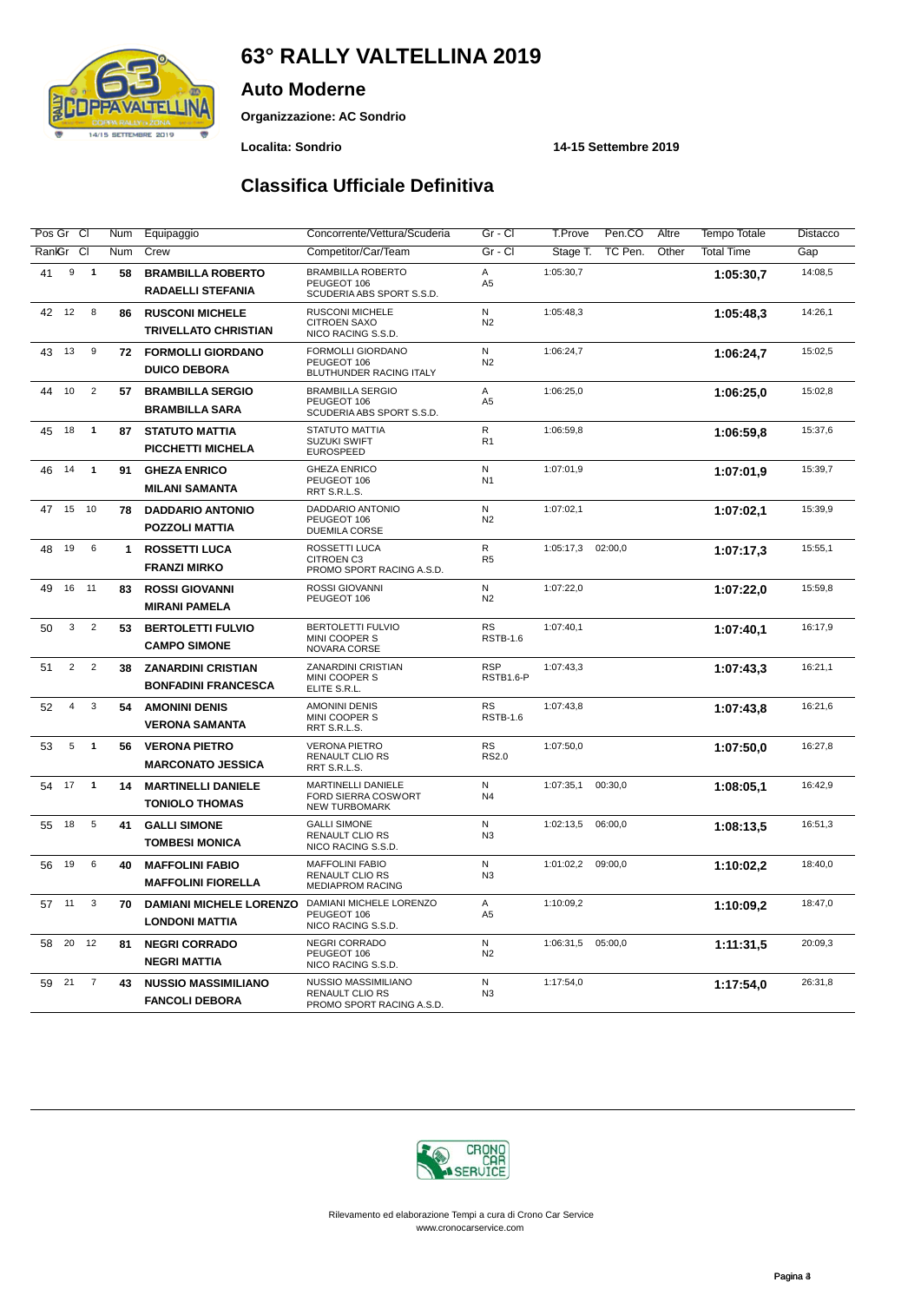# **63° RALLY VALTELLINA 2019**



**Organizzazione: AC Sondrio**

**Auto Moderne**

**Localita: Sondrio 14-15 Settembre 2019**

## **Classifica Ufficiale Definitiva**

| Pos Gr Cl            | Num                  | Equipaggio                                              | Concorrente/Vettura/Scuderia                                                | Gr - Cl                        | T.Prove<br>Pen.CO<br>Altre   | Tempo Totale      | Distacco |
|----------------------|----------------------|---------------------------------------------------------|-----------------------------------------------------------------------------|--------------------------------|------------------------------|-------------------|----------|
| RankGr CI            | Num                  | Crew                                                    | Competitor/Car/Team                                                         | $Gr - Cl$                      | Stage T.<br>TC Pen.<br>Other | <b>Total Time</b> | Gap      |
| 9<br>41              | $\overline{1}$<br>58 | <b>BRAMBILLA ROBERTO</b><br><b>RADAELLI STEFANIA</b>    | <b>BRAMBILLA ROBERTO</b><br>PEUGEOT 106<br>SCUDERIA ABS SPORT S.S.D.        | A<br>A <sub>5</sub>            | 1:05:30,7                    | 1:05:30.7         | 14:08.5  |
| 12<br>42             | 8<br>86              | <b>RUSCONI MICHELE</b><br><b>TRIVELLATO CHRISTIAN</b>   | RUSCONI MICHELE<br><b>CITROEN SAXO</b><br>NICO RACING S.S.D.                | N<br>N <sub>2</sub>            | 1:05:48,3                    | 1:05:48.3         | 14:26,1  |
| 13<br>43             | 9<br>72              | <b>FORMOLLI GIORDANO</b><br><b>DUICO DEBORA</b>         | FORMOLLI GIORDANO<br>PEUGEOT 106<br>BLUTHUNDER RACING ITALY                 | N<br>N <sub>2</sub>            | 1:06:24,7                    | 1:06:24,7         | 15:02,5  |
| 10<br>44             | $\overline{2}$<br>57 | <b>BRAMBILLA SERGIO</b><br><b>BRAMBILLA SARA</b>        | <b>BRAMBILLA SERGIO</b><br>PEUGEOT 106<br>SCUDERIA ABS SPORT S.S.D.         | A<br>A <sub>5</sub>            | 1:06:25,0                    | 1:06:25.0         | 15:02,8  |
| 45<br>18             | $\mathbf{1}$<br>87   | <b>STATUTO MATTIA</b><br>PICCHETTI MICHELA              | STATUTO MATTIA<br><b>SUZUKI SWIFT</b><br><b>EUROSPEED</b>                   | $\mathsf{R}$<br>R1             | 1:06:59,8                    | 1:06:59.8         | 15:37,6  |
| 14<br>46             | $\mathbf{1}$<br>91   | <b>GHEZA ENRICO</b><br><b>MILANI SAMANTA</b>            | <b>GHEZA ENRICO</b><br>PEUGEOT 106<br>RRT S.R.L.S.                          | N<br>N <sub>1</sub>            | 1:07:01,9                    | 1:07:01.9         | 15:39,7  |
| 15<br>47             | 10<br>78             | <b>DADDARIO ANTONIO</b><br><b>POZZOLI MATTIA</b>        | DADDARIO ANTONIO<br>PEUGEOT 106<br><b>DUEMILA CORSE</b>                     | N<br>N <sub>2</sub>            | 1:07:02,1                    | 1:07:02,1         | 15:39,9  |
| 19<br>48             | 6<br>1               | <b>ROSSETTI LUCA</b><br><b>FRANZI MIRKO</b>             | ROSSETTI LUCA<br><b>CITROEN C3</b><br>PROMO SPORT RACING A.S.D.             | $\mathsf{R}$<br>R <sub>5</sub> | 02:00,0<br>1:05:17,3         | 1:07:17.3         | 15:55,1  |
| 16<br>11<br>49       | 83                   | <b>ROSSI GIOVANNI</b><br><b>MIRANI PAMELA</b>           | <b>ROSSI GIOVANNI</b><br>PEUGEOT 106                                        | $\mathsf{N}$<br>N <sub>2</sub> | 1:07:22,0                    | 1:07:22,0         | 15:59,8  |
| 3<br>50              | $\overline{2}$<br>53 | <b>BERTOLETTI FULVIO</b><br><b>CAMPO SIMONE</b>         | <b>BERTOLETTI FULVIO</b><br>MINI COOPER S<br>NOVARA CORSE                   | <b>RS</b><br><b>RSTB-1.6</b>   | 1:07:40,1                    | 1:07:40.1         | 16:17,9  |
| $\overline{2}$<br>51 | $\overline{2}$<br>38 | <b>ZANARDINI CRISTIAN</b><br><b>BONFADINI FRANCESCA</b> | ZANARDINI CRISTIAN<br>MINI COOPER S<br>ELITE S.R.L.                         | <b>RSP</b><br>RSTB1.6-P        | 1:07:43,3                    | 1:07:43.3         | 16:21,1  |
| $\overline{4}$<br>52 | 3<br>54              | <b>AMONINI DENIS</b><br><b>VERONA SAMANTA</b>           | <b>AMONINI DENIS</b><br>MINI COOPER S<br>RRT S.R.L.S.                       | <b>RS</b><br><b>RSTB-1.6</b>   | 1:07:43,8                    | 1:07:43.8         | 16:21,6  |
| 5<br>53              | $\mathbf{1}$<br>56   | <b>VERONA PIETRO</b><br><b>MARCONATO JESSICA</b>        | <b>VERONA PIETRO</b><br><b>RENAULT CLIO RS</b><br>RRT S.R.L.S.              | <b>RS</b><br><b>RS2.0</b>      | 1:07:50,0                    | 1:07:50.0         | 16:27,8  |
| 17<br>54             | $\mathbf{1}$<br>14   | <b>MARTINELLI DANIELE</b><br><b>TONIOLO THOMAS</b>      | MARTINELLI DANIELE<br><b>FORD SIERRA COSWORT</b><br><b>NEW TURBOMARK</b>    | ${\sf N}$<br>N <sub>4</sub>    | 1:07:35,1<br>00:30,0         | 1:08:05.1         | 16:42,9  |
| 18<br>55             | 5<br>41              | <b>GALLI SIMONE</b><br><b>TOMBESI MONICA</b>            | <b>GALLI SIMONE</b><br><b>RENAULT CLIO RS</b><br>NICO RACING S.S.D.         | N<br>N <sub>3</sub>            | 1:02:13,5<br>06:00,0         | 1:08:13.5         | 16:51,3  |
| 19<br>56             | 6<br>40              | <b>MAFFOLINI FABIO</b><br><b>MAFFOLINI FIORELLA</b>     | <b>MAFFOLINI FABIO</b><br><b>RENAULT CLIO RS</b><br><b>MEDIAPROM RACING</b> | ${\sf N}$<br>N <sub>3</sub>    | 1:01:02,2<br>09:00,0         | 1:10:02,2         | 18:40,0  |
| 11<br>57             | 3<br>70              | <b>DAMIANI MICHELE LORENZO</b><br><b>LONDONI MATTIA</b> | DAMIANI MICHELE LORENZO<br>PEUGEOT 106<br>NICO RACING S.S.D.                | Α<br>A <sub>5</sub>            | 1:10:09,2                    | 1:10:09.2         | 18:47,0  |
| 20<br>58             | 12<br>81             | <b>NEGRI CORRADO</b><br><b>NEGRI MATTIA</b>             | NEGRI CORRADO<br>PEUGEOT 106<br>NICO RACING S.S.D.                          | N<br>N <sub>2</sub>            | 05:00,0<br>1:06:31,5         | 1:11:31.5         | 20:09,3  |
| 21<br>59             | $\overline{7}$<br>43 | <b>NUSSIO MASSIMILIANO</b><br><b>FANCOLI DEBORA</b>     | NUSSIO MASSIMILIANO<br><b>RENAULT CLIO RS</b><br>PROMO SPORT RACING A.S.D.  | N<br>N <sub>3</sub>            | 1:17:54,0                    | 1:17:54,0         | 26:31,8  |
|                      |                      |                                                         |                                                                             |                                |                              |                   |          |

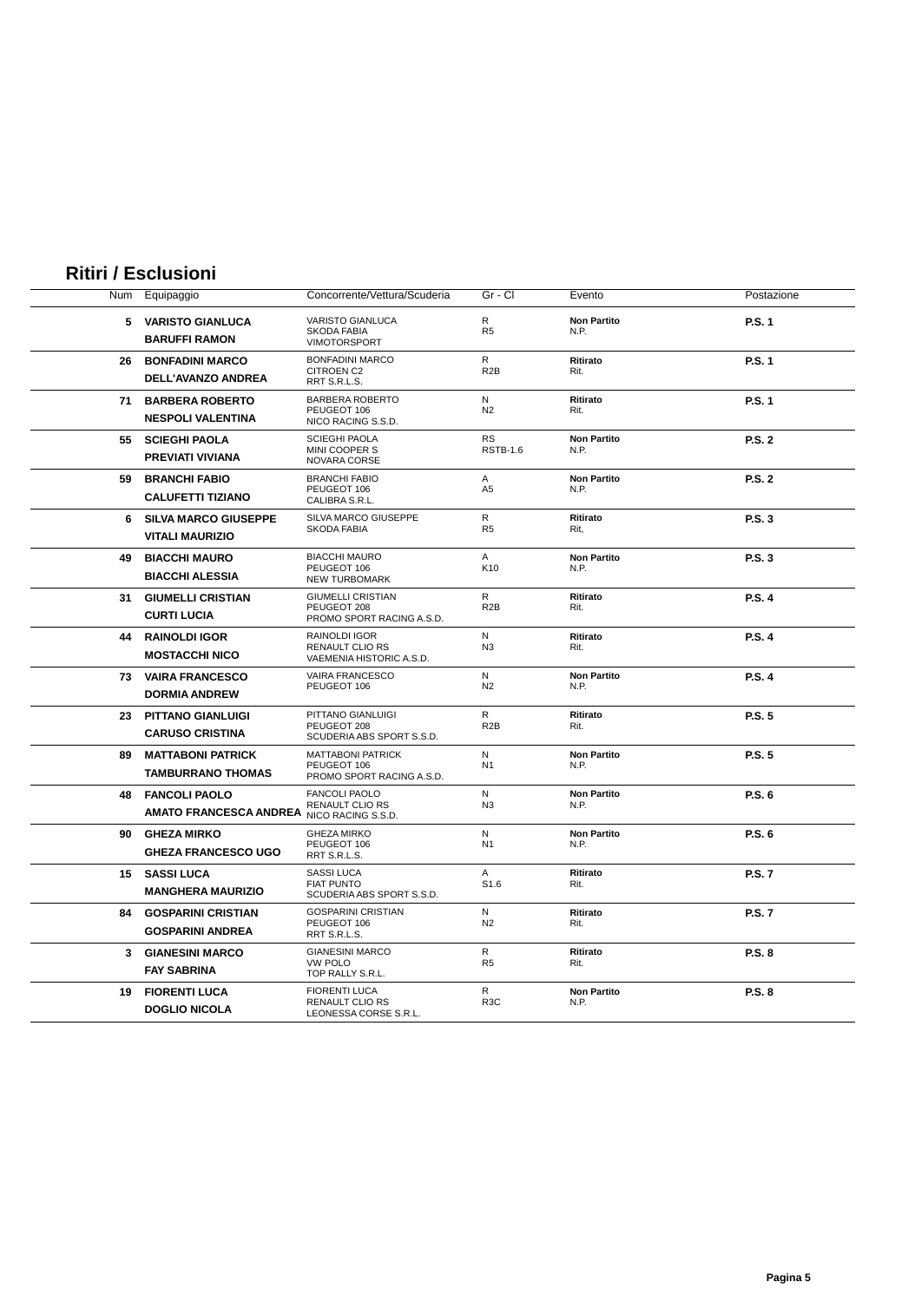## **Ritiri / Esclusioni**

| Num | Equipaggio                                            | Concorrente/Vettura/Scuderia                                            | Gr - Cl                          | Evento                     | Postazione    |
|-----|-------------------------------------------------------|-------------------------------------------------------------------------|----------------------------------|----------------------------|---------------|
|     | 5 VARISTO GIANLUCA<br><b>BARUFFI RAMON</b>            | <b>VARISTO GIANLUCA</b><br>SKODA FABIA<br><b>VIMOTORSPORT</b>           | R<br>R <sub>5</sub>              | <b>Non Partito</b><br>N.P. | P.S. 1        |
| 26  | <b>BONFADINI MARCO</b><br>DELL'AVANZO ANDREA          | <b>BONFADINI MARCO</b><br><b>CITROEN C2</b><br>RRT S.R.L.S.             | R<br>R <sub>2</sub> B            | Ritirato<br>Rit.           | P.S. 1        |
| 71  | <b>BARBERA ROBERTO</b><br><b>NESPOLI VALENTINA</b>    | <b>BARBERA ROBERTO</b><br>PEUGEOT 106<br>NICO RACING S.S.D.             | N<br>N <sub>2</sub>              | Ritirato<br>Rit.           | <b>P.S. 1</b> |
| 55  | <b>SCIEGHI PAOLA</b><br>PREVIATI VIVIANA              | <b>SCIEGHI PAOLA</b><br>MINI COOPER S<br>NOVARA CORSE                   | <b>RS</b><br><b>RSTB-1.6</b>     | <b>Non Partito</b><br>N.P. | <b>P.S. 2</b> |
| 59  | <b>BRANCHI FABIO</b><br><b>CALUFETTI TIZIANO</b>      | <b>BRANCHI FABIO</b><br>PEUGEOT 106<br>CALIBRA S.R.L.                   | A<br>A <sub>5</sub>              | <b>Non Partito</b><br>N.P. | <b>P.S. 2</b> |
| 6   | <b>SILVA MARCO GIUSEPPE</b><br><b>VITALI MAURIZIO</b> | SILVA MARCO GIUSEPPE<br><b>SKODA FABIA</b>                              | $\mathsf{R}$<br>R <sub>5</sub>   | Ritirato<br>Rit,           | <b>P.S. 3</b> |
| 49  | <b>BIACCHI MAURO</b><br><b>BIACCHI ALESSIA</b>        | <b>BIACCHI MAURO</b><br>PEUGEOT 106<br><b>NEW TURBOMARK</b>             | A<br>K <sub>10</sub>             | <b>Non Partito</b><br>N.P. | <b>P.S. 3</b> |
| 31  | <b>GIUMELLI CRISTIAN</b><br><b>CURTI LUCIA</b>        | <b>GIUMELLI CRISTIAN</b><br>PEUGEOT 208<br>PROMO SPORT RACING A.S.D.    | $\mathsf{R}$<br>R <sub>2</sub> B | <b>Ritirato</b><br>Rit.    | <b>P.S. 4</b> |
| 44  | <b>RAINOLDI IGOR</b><br><b>MOSTACCHI NICO</b>         | RAINOLDI IGOR<br><b>RENAULT CLIO RS</b><br>VAEMENIA HISTORIC A.S.D.     | N<br>N <sub>3</sub>              | Ritirato<br>Rit.           | <b>P.S. 4</b> |
|     | 73 VAIRA FRANCESCO<br><b>DORMIA ANDREW</b>            | VAIRA FRANCESCO<br>PEUGEOT 106                                          | N<br>N <sub>2</sub>              | <b>Non Partito</b><br>N.P. | <b>P.S. 4</b> |
| 23  | <b>PITTANO GIANLUIGI</b><br><b>CARUSO CRISTINA</b>    | PITTANO GIANLUIGI<br>PEUGEOT 208<br>SCUDERIA ABS SPORT S.S.D.           | $\mathsf{R}$<br>R <sub>2</sub> B | Ritirato<br>Rit.           | <b>P.S. 5</b> |
| 89  | <b>MATTABONI PATRICK</b><br><b>TAMBURRANO THOMAS</b>  | MATTABONI PATRICK<br>PEUGEOT 106<br>PROMO SPORT RACING A.S.D.           | N<br>N <sub>1</sub>              | <b>Non Partito</b><br>N.P. | <b>P.S. 5</b> |
| 48  | <b>FANCOLI PAOLO</b><br><b>AMATO FRANCESCA ANDREA</b> | <b>FANCOLI PAOLO</b><br><b>RENAULT CLIO RS</b><br>NICO RACING S.S.D.    | N<br>N <sub>3</sub>              | <b>Non Partito</b><br>N.P. | P.S. 6        |
| 90  | <b>GHEZA MIRKO</b><br><b>GHEZA FRANCESCO UGO</b>      | <b>GHEZA MIRKO</b><br>PEUGEOT 106<br>RRT S.R.L.S.                       | N<br>N <sub>1</sub>              | <b>Non Partito</b><br>N.P. | P.S. 6        |
| 15  | <b>SASSI LUCA</b><br><b>MANGHERA MAURIZIO</b>         | <b>SASSI LUCA</b><br><b>FIAT PUNTO</b><br>SCUDERIA ABS SPORT S.S.D.     | $\mathsf{A}$<br>S <sub>1.6</sub> | Ritirato<br>Rit.           | <b>P.S. 7</b> |
| 84  | <b>GOSPARINI CRISTIAN</b><br><b>GOSPARINI ANDREA</b>  | <b>GOSPARINI CRISTIAN</b><br>PEUGEOT 106<br>RRT S.R.L.S.                | N<br>N <sub>2</sub>              | Ritirato<br>Rit.           | <b>P.S. 7</b> |
|     | 3 GIANESINI MARCO<br><b>FAY SABRINA</b>               | <b>GIANESINI MARCO</b><br><b>VW POLO</b><br>TOP RALLY S.R.L.            | R<br>R <sub>5</sub>              | Ritirato<br>Rit.           | P.S. 8        |
| 19  | <b>FIORENTI LUCA</b><br><b>DOGLIO NICOLA</b>          | <b>FIORENTI LUCA</b><br><b>RENAULT CLIO RS</b><br>LEONESSA CORSE S.R.L. | R<br>R <sub>3</sub> C            | <b>Non Partito</b><br>N.P. | P.S. 8        |